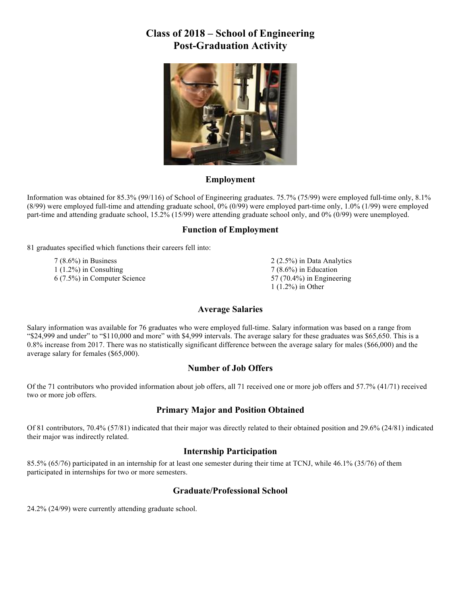### **Class of 2018 – School of Engineering Post-Graduation Activity**



#### **Employment**

Information was obtained for 85.3% (99/116) of School of Engineering graduates. 75.7% (75/99) were employed full-time only, 8.1% (8/99) were employed full-time and attending graduate school, 0% (0/99) were employed part-time only, 1.0% (1/99) were employed part-time and attending graduate school, 15.2% (15/99) were attending graduate school only, and 0% (0/99) were unemployed.

#### **Function of Employment**

<sup>81</sup> graduates specified which functions their careers fell into:

7 (8.6%) in Business 1 (1.2%) in Consulting 6 (7.5%) in Computer Science 2 (2.5%) in Data Analytics 7 (8.6%) in Education 57 (70.4%) in Engineering 1 (1.2%) in Other

#### **Average Salaries**

Salary information was available for 76 graduates who were employed full-time. Salary information was based on a range from "\$24,999 and under" to "\$110,000 and more" with \$4,999 intervals. The average salary for these graduates was \$65,650. This is a 0.8% increase from 2017. There was no statistically significant difference between the average salary for males (\$66,000) and the average salary for females (\$65,000).

#### **Number of Job Offers**

Of the 71 contributors who provided information about job offers, all 71 received one or more job offers and 57.7% (41/71) received two or more job offers.

#### **Primary Major and Position Obtained**

Of 81 contributors, 70.4% (57/81) indicated that their major was directly related to their obtained position and 29.6% (24/81) indicated their major was indirectly related.

#### **Internship Participation**

85.5% (65/76) participated in an internship for at least one semester during their time at TCNJ, while 46.1% (35/76) of them participated in internships for two or more semesters.

#### **Graduate/Professional School**

24.2% (24/99) were currently attending graduate school.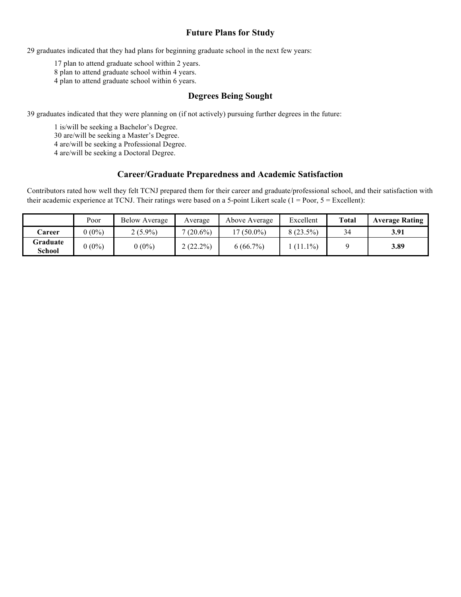#### **Future Plans for Study**

29 graduates indicated that they had plans for beginning graduate school in the next few years:

17 plan to attend graduate school within 2 years.

8 plan to attend graduate school within 4 years.

4 plan to attend graduate school within 6 years.

#### **Degrees Being Sought**

39 graduates indicated that they were planning on (if not actively) pursuing further degrees in the future:

1 is/will be seeking a Bachelor's Degree.

30 are/will be seeking a Master's Degree.

4 are/will be seeking a Professional Degree.

4 are/will be seeking a Doctoral Degree.

#### **Career/Graduate Preparedness and Academic Satisfaction**

Contributors rated how well they felt TCNJ prepared them for their career and graduate/professional school, and their satisfaction with their academic experience at TCNJ. Their ratings were based on a 5-point Likert scale  $(1 = Poor, 5 = Execllen)$ :

|                    | Poor     | <b>Below Average</b> | Average     | Above Average | Excellent   | <b>Total</b> | <b>Average Rating</b> |
|--------------------|----------|----------------------|-------------|---------------|-------------|--------------|-----------------------|
| Career             | $0(0\%)$ | $2(5.9\%)$           | $(20.6\%)$  | $(50.0\%)$    | $8(23.5\%)$ | 34           | 3.91                  |
| Graduate<br>School | $0(0\%)$ | $0(0\%)$             | $2(22.2\%)$ | 6(66.7%)      | $(11.1\%)$  |              | 3.89                  |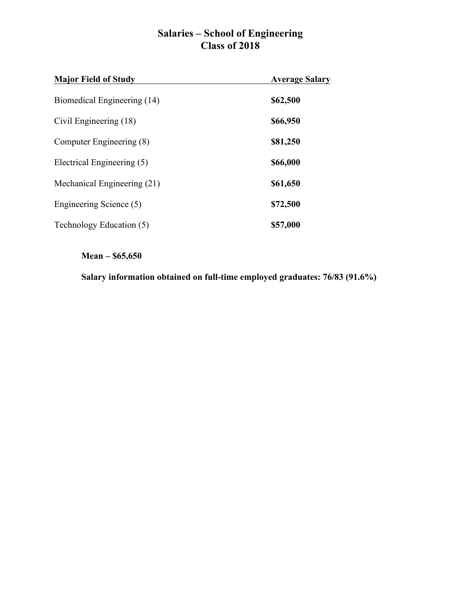## **Salaries – School of Engineering Class of 2018**

| <b>Major Field of Study</b> | <b>Average Salary</b> |
|-----------------------------|-----------------------|
| Biomedical Engineering (14) | \$62,500              |
| Civil Engineering (18)      | \$66,950              |
| Computer Engineering (8)    | \$81,250              |
| Electrical Engineering (5)  | \$66,000              |
| Mechanical Engineering (21) | \$61,650              |
| Engineering Science (5)     | \$72,500              |
| Technology Education (5)    | \$57,000              |

### **Mean – \$65,650**

**Salary information obtained on full-time employed graduates: 76/83 (91.6%)**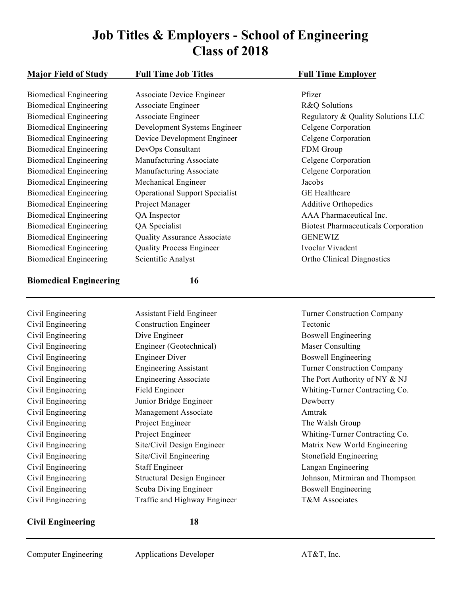# **Job Titles & Employers - School of Engineering Class of 2018**

| <b>Major Field of Study</b>   | <b>Full Time Job Titles</b>           | <b>Full Time Employer</b>                  |
|-------------------------------|---------------------------------------|--------------------------------------------|
| <b>Biomedical Engineering</b> | <b>Associate Device Engineer</b>      | Pfizer                                     |
| <b>Biomedical Engineering</b> | Associate Engineer                    | R&Q Solutions                              |
| <b>Biomedical Engineering</b> | Associate Engineer                    | Regulatory & Quality Solutions LLC         |
| <b>Biomedical Engineering</b> | Development Systems Engineer          | Celgene Corporation                        |
| <b>Biomedical Engineering</b> | Device Development Engineer           | Celgene Corporation                        |
| <b>Biomedical Engineering</b> | DevOps Consultant                     | FDM Group                                  |
| <b>Biomedical Engineering</b> | Manufacturing Associate               | Celgene Corporation                        |
| <b>Biomedical Engineering</b> | Manufacturing Associate               | Celgene Corporation                        |
| <b>Biomedical Engineering</b> | Mechanical Engineer                   | Jacobs                                     |
| <b>Biomedical Engineering</b> | <b>Operational Support Specialist</b> | <b>GE</b> Healthcare                       |
| <b>Biomedical Engineering</b> | Project Manager                       | <b>Additive Orthopedics</b>                |
| <b>Biomedical Engineering</b> | QA Inspector                          | AAA Pharmaceutical Inc.                    |
| <b>Biomedical Engineering</b> | QA Specialist                         | <b>Biotest Pharmaceuticals Corporation</b> |
| <b>Biomedical Engineering</b> |                                       | <b>GENEWIZ</b>                             |
|                               | <b>Quality Assurance Associate</b>    | Ivoclar Vivadent                           |
| <b>Biomedical Engineering</b> | <b>Quality Process Engineer</b>       |                                            |
| <b>Biomedical Engineering</b> | Scientific Analyst                    | <b>Ortho Clinical Diagnostics</b>          |
| <b>Biomedical Engineering</b> | 16                                    |                                            |
| Civil Engineering             | <b>Assistant Field Engineer</b>       | <b>Turner Construction Company</b>         |
| Civil Engineering             | <b>Construction Engineer</b>          | Tectonic                                   |
| Civil Engineering             | Dive Engineer                         | <b>Boswell Engineering</b>                 |
| Civil Engineering             | Engineer (Geotechnical)               | <b>Maser Consulting</b>                    |
| Civil Engineering             | <b>Engineer Diver</b>                 | <b>Boswell Engineering</b>                 |
| Civil Engineering             | <b>Engineering Assistant</b>          | <b>Turner Construction Company</b>         |
| Civil Engineering             | <b>Engineering Associate</b>          | The Port Authority of NY & NJ              |
| Civil Engineering             | Field Engineer                        | Whiting-Turner Contracting Co.             |
| Civil Engineering             | Junior Bridge Engineer                | Dewberry                                   |
| Civil Engineering             | Management Associate                  | Amtrak                                     |
| Civil Engineering             | Project Engineer                      | The Walsh Group                            |
| Civil Engineering             | Project Engineer                      | Whiting-Turner Contracting Co.             |
| Civil Engineering             | Site/Civil Design Engineer            | Matrix New World Engineering               |
| Civil Engineering             | Site/Civil Engineering                | Stonefield Engineering                     |
| Civil Engineering             | <b>Staff Engineer</b>                 | Langan Engineering                         |
| Civil Engineering             | <b>Structural Design Engineer</b>     | Johnson, Mirmiran and Thompson             |
| Civil Engineering             | Scuba Diving Engineer                 | <b>Boswell Engineering</b>                 |

Civil Engineering Traffic and Highway Engineer T&M Associates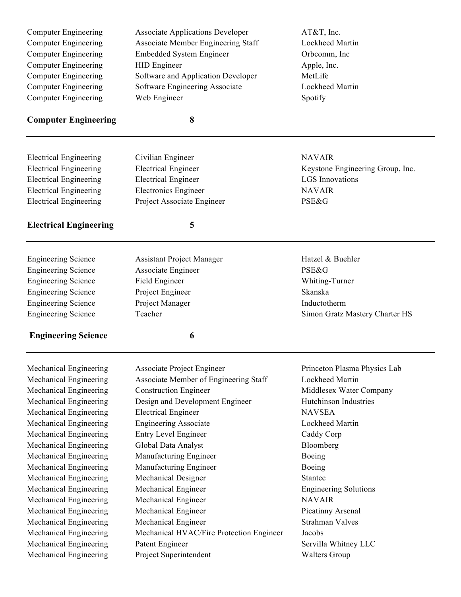| <b>Computer Engineering</b>   | <b>Associate Applications Developer</b>   | AT&T, Inc.                                    |
|-------------------------------|-------------------------------------------|-----------------------------------------------|
| <b>Computer Engineering</b>   | <b>Associate Member Engineering Staff</b> | Lockheed Martin                               |
| <b>Computer Engineering</b>   | <b>Embedded System Engineer</b>           | Orbcomm, Inc                                  |
| <b>Computer Engineering</b>   | <b>HID</b> Engineer                       | Apple, Inc.                                   |
| <b>Computer Engineering</b>   | Software and Application Developer        | MetLife                                       |
| <b>Computer Engineering</b>   | Software Engineering Associate            | Lockheed Martin                               |
| <b>Computer Engineering</b>   | Web Engineer                              | Spotify                                       |
| <b>Computer Engineering</b>   | 8                                         |                                               |
|                               |                                           |                                               |
| <b>Electrical Engineering</b> | Civilian Engineer                         | <b>NAVAIR</b>                                 |
| <b>Electrical Engineering</b> | <b>Electrical Engineer</b>                | Keystone Engineering Group, Inc.              |
| <b>Electrical Engineering</b> | <b>Electrical Engineer</b>                | <b>LGS</b> Innovations                        |
| <b>Electrical Engineering</b> | <b>Electronics Engineer</b>               | <b>NAVAIR</b>                                 |
| <b>Electrical Engineering</b> | Project Associate Engineer                | <b>PSE&amp;G</b>                              |
| <b>Electrical Engineering</b> | 5                                         |                                               |
|                               |                                           |                                               |
| <b>Engineering Science</b>    | <b>Assistant Project Manager</b>          | Hatzel & Buehler                              |
| <b>Engineering Science</b>    | Associate Engineer                        | <b>PSE&amp;G</b>                              |
| <b>Engineering Science</b>    | Field Engineer                            | Whiting-Turner                                |
| <b>Engineering Science</b>    | Project Engineer                          | Skanska                                       |
| <b>Engineering Science</b>    | Project Manager                           | Inductotherm                                  |
| <b>Engineering Science</b>    | Teacher                                   | Simon Gratz Mastery Charter HS                |
| <b>Engineering Science</b>    | 6                                         |                                               |
| Mechanical Engineering        | <b>Associate Project Engineer</b>         | Princeton Plasma Physics Lab                  |
| Mechanical Engineering        | Associate Member of Engineering Staff     | Lockheed Martin                               |
| Mechanical Engineering        | <b>Construction Engineer</b>              | Middlesex Water Company                       |
| Mechanical Engineering        | Design and Development Engineer           | <b>Hutchinson Industries</b>                  |
| Mechanical Engineering        | <b>Electrical Engineer</b>                | <b>NAVSEA</b>                                 |
| Mechanical Engineering        | <b>Engineering Associate</b>              | Lockheed Martin                               |
| Mechanical Engineering        | <b>Entry Level Engineer</b>               | Caddy Corp                                    |
| Mechanical Engineering        | Global Data Analyst                       | Bloomberg                                     |
| Mechanical Engineering        | Manufacturing Engineer                    | Boeing                                        |
| Mechanical Engineering        | Manufacturing Engineer                    | Boeing                                        |
| Mechanical Engineering        | Mechanical Designer                       | <b>Stantec</b>                                |
|                               |                                           |                                               |
| Mechanical Engineering        | Mechanical Engineer                       | <b>Engineering Solutions</b><br><b>NAVAIR</b> |
| Mechanical Engineering        | Mechanical Engineer                       |                                               |
| Mechanical Engineering        | Mechanical Engineer                       | Picatinny Arsenal                             |
| Mechanical Engineering        | Mechanical Engineer                       | Strahman Valves                               |

Mechanical Engineering Mechanical HVAC/Fire Protection Engineer Jacobs<br>Mechanical Engineering Patent Engineer Servilla Mechanical Engineering Patent Engineer Servilla Whitney LLC

Mechanical Engineering Project Superintendent Walters Group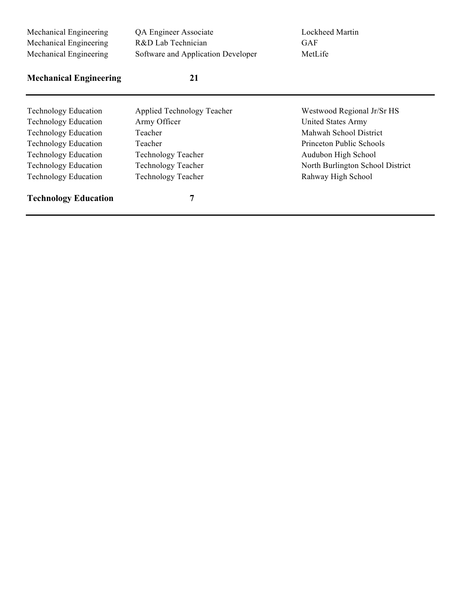| Mechanical Engineering<br>Mechanical Engineering<br>Mechanical Engineering | QA Engineer Associate<br>R&D Lab Technician<br>Software and Application Developer | Lockheed Martin<br><b>GAF</b><br>MetLife |
|----------------------------------------------------------------------------|-----------------------------------------------------------------------------------|------------------------------------------|
| <b>Mechanical Engineering</b>                                              | 21                                                                                |                                          |
| <b>Technology Education</b>                                                | Applied Technology Teacher                                                        | Westwood Regional Jr/Sr HS               |
| <b>Technology Education</b>                                                | Army Officer                                                                      | <b>United States Army</b>                |
| <b>Technology Education</b>                                                | Teacher                                                                           | Mahwah School District                   |
| <b>Technology Education</b>                                                | Teacher                                                                           | Princeton Public Schools                 |
| <b>Technology Education</b>                                                | <b>Technology Teacher</b>                                                         | Audubon High School                      |
| <b>Technology Education</b>                                                | <b>Technology Teacher</b>                                                         | North Burlington School District         |
| <b>Technology Education</b>                                                | <b>Technology Teacher</b>                                                         | Rahway High School                       |
| <b>Technology Education</b>                                                | 7                                                                                 |                                          |